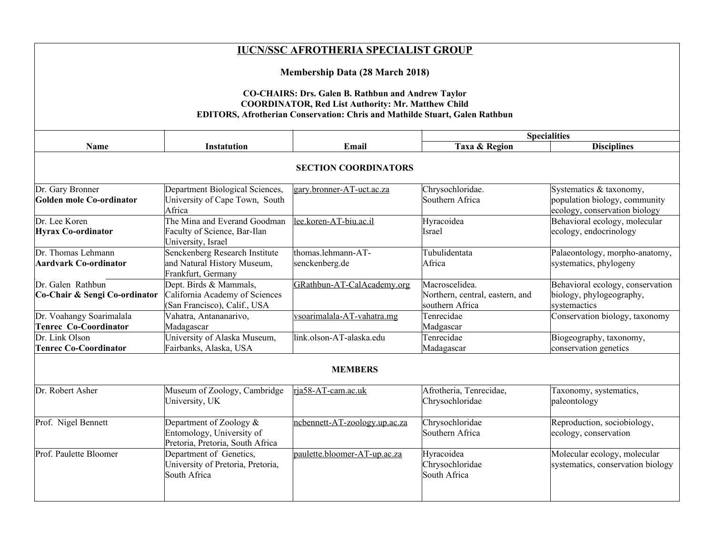| <b>IUCN/SSC AFROTHERIA SPECIALIST GROUP</b>                                                                                                                                                                                                     |                                                                                             |                                      |                                                                      |                                                                                           |  |  |
|-------------------------------------------------------------------------------------------------------------------------------------------------------------------------------------------------------------------------------------------------|---------------------------------------------------------------------------------------------|--------------------------------------|----------------------------------------------------------------------|-------------------------------------------------------------------------------------------|--|--|
| <b>Membership Data (28 March 2018)</b><br><b>CO-CHAIRS: Drs. Galen B. Rathbun and Andrew Taylor</b><br><b>COORDINATOR, Red List Authority: Mr. Matthew Child</b><br>EDITORS, Afrotherian Conservation: Chris and Mathilde Stuart, Galen Rathbun |                                                                                             |                                      |                                                                      |                                                                                           |  |  |
|                                                                                                                                                                                                                                                 |                                                                                             |                                      |                                                                      |                                                                                           |  |  |
| Name                                                                                                                                                                                                                                            | <b>Instatution</b>                                                                          | Email                                | Taxa & Region                                                        | <b>Disciplines</b>                                                                        |  |  |
|                                                                                                                                                                                                                                                 | <b>SECTION COORDINATORS</b>                                                                 |                                      |                                                                      |                                                                                           |  |  |
| Dr. Gary Bronner<br>Golden mole Co-ordinator                                                                                                                                                                                                    | Department Biological Sciences,<br>University of Cape Town, South<br>Africa                 | gary.bronner-AT-uct.ac.za            | Chrysochloridae.<br>Southern Africa                                  | Systematics & taxonomy,<br>population biology, community<br>ecology, conservation biology |  |  |
| Dr. Lee Koren<br>Hyrax Co-ordinator                                                                                                                                                                                                             | The Mina and Everand Goodman<br>Faculty of Science, Bar-Ilan<br>University, Israel          | lee.koren-AT-biu.ac.il               | Hyracoidea<br><b>Israel</b>                                          | Behavioral ecology, molecular<br>ecology, endocrinology                                   |  |  |
| Dr. Thomas Lehmann<br><b>Aardvark Co-ordinator</b>                                                                                                                                                                                              | Senckenberg Research Institute<br>and Natural History Museum,<br>Frankfurt, Germany         | thomas.lehmann-AT-<br>senckenberg.de | Tubulidentata<br>Africa                                              | Palaeontology, morpho-anatomy,<br>systematics, phylogeny                                  |  |  |
| Dr. Galen Rathbun<br>Co-Chair & Sengi Co-ordinator                                                                                                                                                                                              | Dept. Birds & Mammals,<br>California Academy of Sciences<br>(San Francisco), Calif., USA    | GRathbun-AT-CalAcademy.org           | Macroscelidea.<br>Northern, central, eastern, and<br>southern Africa | Behavioral ecology, conservation<br>biology, phylogeography,<br>systemactics              |  |  |
| Dr. Voahangy Soarimalala<br>Tenrec Co-Coordinator                                                                                                                                                                                               | Vahatra, Antananarivo,<br>Madagascar                                                        | ysoarimalala-AT-vahatra.mg           | Tenrecidae<br>Madgascar                                              | Conservation biology, taxonomy                                                            |  |  |
| Dr. Link Olson<br><b>Tenrec Co-Coordinator</b>                                                                                                                                                                                                  | University of Alaska Museum,<br>Fairbanks, Alaska, USA                                      | link.olson-AT-alaska.edu             | Tenrecidae<br>Madagascar                                             | Biogeography, taxonomy,<br>conservation genetics                                          |  |  |
| <b>MEMBERS</b>                                                                                                                                                                                                                                  |                                                                                             |                                      |                                                                      |                                                                                           |  |  |
| Dr. Robert Asher                                                                                                                                                                                                                                | Museum of Zoology, Cambridge<br>University, UK                                              | ria58-AT-cam.ac.uk                   | Afrotheria, Tenrecidae,<br>Chrysochloridae                           | Taxonomy, systematics,<br>paleontology                                                    |  |  |
| Prof. Nigel Bennett                                                                                                                                                                                                                             | Department of Zoology $\&$<br>Entomology, University of<br>Pretoria, Pretoria, South Africa | ncbennett-AT-zoology.up.ac.za        | Chrysochloridae<br>Southern Africa                                   | Reproduction, sociobiology,<br>ecology, conservation                                      |  |  |
| Prof. Paulette Bloomer                                                                                                                                                                                                                          | Department of Genetics,<br>University of Pretoria, Pretoria,<br>South Africa                | paulette.bloomer-AT-up.ac.za         | Hyracoidea<br>Chrysochloridae<br>South Africa                        | Molecular ecology, molecular<br>systematics, conservation biology                         |  |  |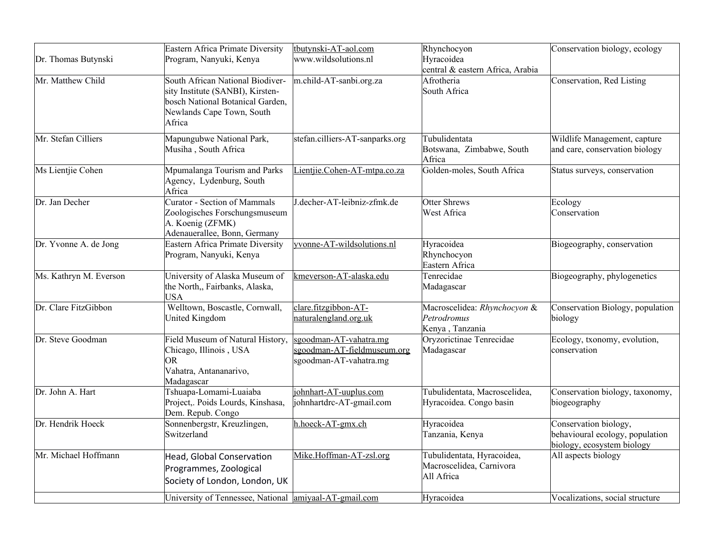| Dr. Thomas Butynski    | Eastern Africa Primate Diversity<br>Program, Nanyuki, Kenya                                                                                     | tbutynski-AT-aol.com<br>www.wildsolutions.nl                                    | Rhynchocyon<br>Hyracoidea<br>central & eastern Africa, Arabia        | Conservation biology, ecology                                                          |
|------------------------|-------------------------------------------------------------------------------------------------------------------------------------------------|---------------------------------------------------------------------------------|----------------------------------------------------------------------|----------------------------------------------------------------------------------------|
| Mr. Matthew Child      | South African National Biodiver-<br>sity Institute (SANBI), Kirsten-<br>bosch National Botanical Garden,<br>Newlands Cape Town, South<br>Africa | m.child-AT-sanbi.org.za                                                         | Afrotheria<br>South Africa                                           | Conservation, Red Listing                                                              |
| Mr. Stefan Cilliers    | Mapungubwe National Park,<br>Musiha, South Africa                                                                                               | stefan.cilliers-AT-sanparks.org                                                 | Tubulidentata<br>Botswana, Zimbabwe, South<br>Africa                 | Wildlife Management, capture<br>and care, conservation biology                         |
| Ms Lientjie Cohen      | Mpumalanga Tourism and Parks<br>Agency, Lydenburg, South<br>Africa                                                                              | Lientjie.Cohen-AT-mtpa.co.za                                                    | Golden-moles, South Africa                                           | Status surveys, conservation                                                           |
| Dr. Jan Decher         | <b>Curator - Section of Mammals</b><br>Zoologisches Forschungsmuseum<br>A. Koenig (ZFMK)<br>Adenauerallee, Bonn, Germany                        | J.decher-AT-leibniz-zfmk.de                                                     | <b>Otter Shrews</b><br>West Africa                                   | Ecology<br>Conservation                                                                |
| Dr. Yvonne A. de Jong  | Eastern Africa Primate Diversity<br>Program, Nanyuki, Kenya                                                                                     | yvonne-AT-wildsolutions.nl                                                      | Hyracoidea<br>Rhynchocyon<br>Eastern Africa                          | Biogeography, conservation                                                             |
| Ms. Kathryn M. Everson | University of Alaska Museum of<br>the North, Fairbanks, Alaska,<br><b>USA</b>                                                                   | kmeverson-AT-alaska.edu                                                         | Tenrecidae<br>Madagascar                                             | Biogeography, phylogenetics                                                            |
| Dr. Clare FitzGibbon   | Welltown, Boscastle, Cornwall,<br>United Kingdom                                                                                                | clare.fitzgibbon-AT-<br>naturalengland.org.uk                                   | Macroscelidea: Rhynchocyon &<br>Petrodromus<br>Kenya, Tanzania       | Conservation Biology, population<br>biology                                            |
| Dr. Steve Goodman      | Field Museum of Natural History,<br>Chicago, Illinois, USA<br><b>OR</b><br>Vahatra, Antananarivo,<br>Madagascar                                 | sgoodman-AT-vahatra.mg<br>sgoodman-AT-fieldmuseum.org<br>sgoodman-AT-vahatra.mg | Oryzorictinae Tenrecidae<br>Madagascar                               | Ecology, txonomy, evolution,<br>conservation                                           |
| Dr. John A. Hart       | Tshuapa-Lomami-Luaiaba<br>Project, Poids Lourds, Kinshasa,<br>Dem. Repub. Congo                                                                 | johnhart-AT-uuplus.com<br>johnhartdrc-AT-gmail.com                              | Tubulidentata, Macroscelidea,<br>Hyracoidea. Congo basin             | Conservation biology, taxonomy,<br>biogeography                                        |
| Dr. Hendrik Hoeck      | Sonnenbergstr, Kreuzlingen,<br>Switzerland                                                                                                      | h.hoeck-AT-gmx.ch                                                               | Hyracoidea<br>Tanzania, Kenya                                        | Conservation biology,<br>behavioural ecology, population<br>biology, ecosystem biology |
| Mr. Michael Hoffmann   | Head, Global Conservation<br>Programmes, Zoological<br>Society of London, London, UK                                                            | Mike.Hoffman-AT-zsl.org                                                         | Tubulidentata, Hyracoidea,<br>Macroscelidea, Carnivora<br>All Africa | All aspects biology                                                                    |
|                        | University of Tennessee, National amiyaal-AT-gmail.com                                                                                          |                                                                                 | Hyracoidea                                                           | Vocalizations, social structure                                                        |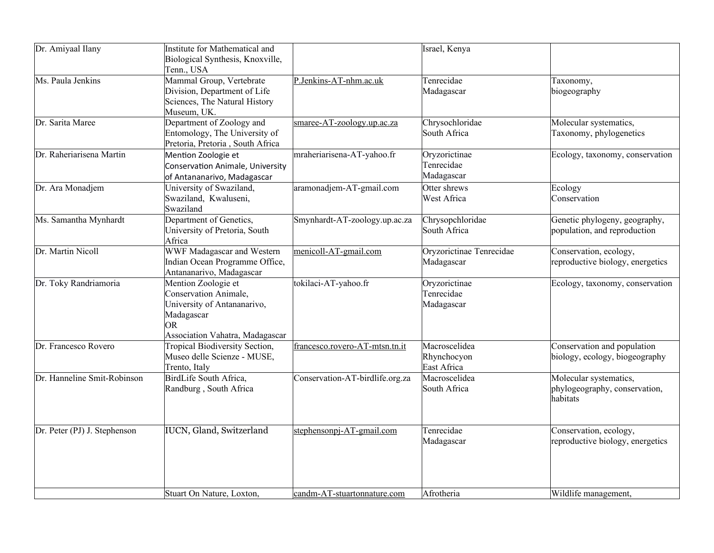| Dr. Amiyaal Ilany            | Institute for Mathematical and            |                                 | Israel, Kenya               |                                  |
|------------------------------|-------------------------------------------|---------------------------------|-----------------------------|----------------------------------|
|                              | Biological Synthesis, Knoxville,          |                                 |                             |                                  |
|                              | Tenn., USA                                |                                 |                             |                                  |
| Ms. Paula Jenkins            | Mammal Group, Vertebrate                  | P.Jenkins-AT-nhm.ac.uk          | Tenrecidae                  | Taxonomy,                        |
|                              | Division, Department of Life              |                                 | Madagascar                  | biogeography                     |
|                              | Sciences, The Natural History             |                                 |                             |                                  |
|                              | Museum, UK.                               |                                 |                             |                                  |
| Dr. Sarita Maree             | Department of Zoology and                 | smaree-AT-zoology.up.ac.za      | Chrysochloridae             | Molecular systematics,           |
|                              | Entomology, The University of             |                                 | South Africa                | Taxonomy, phylogenetics          |
|                              | Pretoria, Pretoria, South Africa          |                                 |                             |                                  |
| Dr. Raheriarisena Martin     | Mention Zoologie et                       | mraheriarisena-AT-yahoo.fr      | Oryzorictinae               | Ecology, taxonomy, conservation  |
|                              | Conservation Animale, University          |                                 | Tenrecidae                  |                                  |
|                              | of Antananarivo, Madagascar               |                                 | Madagascar                  |                                  |
| Dr. Ara Monadjem             | University of Swaziland,                  | aramonadjem-AT-gmail.com        | Otter shrews                | Ecology                          |
|                              | Swaziland, Kwaluseni,                     |                                 | <b>West Africa</b>          | Conservation                     |
|                              | Swaziland                                 |                                 |                             |                                  |
| Ms. Samantha Mynhardt        | Department of Genetics,                   | Smynhardt-AT-zoology.up.ac.za   | Chrysopchloridae            | Genetic phylogeny, geography,    |
|                              | University of Pretoria, South             |                                 | South Africa                | population, and reproduction     |
|                              | Africa                                    |                                 |                             |                                  |
| Dr. Martin Nicoll            | WWF Madagascar and Western                | menicoll-AT-gmail.com           | Oryzorictinae Tenrecidae    | Conservation, ecology,           |
|                              | Indian Ocean Programme Office,            |                                 | Madagascar                  | reproductive biology, energetics |
|                              | Antananarivo, Madagascar                  |                                 |                             |                                  |
| Dr. Toky Randriamoria        | Mention Zoologie et                       | tokilaci-AT-yahoo.fr            | Oryzorictinae<br>Tenrecidae | Ecology, taxonomy, conservation  |
|                              | Conservation Animale,                     |                                 |                             |                                  |
|                              | University of Antananarivo,<br>Madagascar |                                 | Madagascar                  |                                  |
|                              | OR.                                       |                                 |                             |                                  |
|                              | Association Vahatra, Madagascar           |                                 |                             |                                  |
| Dr. Francesco Rovero         | <b>Tropical Biodiversity Section,</b>     | francesco.rovero-AT-mtsn.tn.it  | Macroscelidea               | Conservation and population      |
|                              | Museo delle Scienze - MUSE,               |                                 | Rhynchocyon                 | biology, ecology, biogeography   |
|                              | Trento, Italy                             |                                 | East Africa                 |                                  |
| Dr. Hanneline Smit-Robinson  | BirdLife South Africa,                    | Conservation-AT-birdlife.org.za | Macroscelidea               | Molecular systematics,           |
|                              | Randburg, South Africa                    |                                 | South Africa                | phylogeography, conservation,    |
|                              |                                           |                                 |                             | habitats                         |
|                              |                                           |                                 |                             |                                  |
|                              |                                           |                                 |                             |                                  |
| Dr. Peter (PJ) J. Stephenson | IUCN, Gland, Switzerland                  | stephensonpj-AT-gmail.com       | Tenrecidae                  | Conservation, ecology,           |
|                              |                                           |                                 | Madagascar                  | reproductive biology, energetics |
|                              |                                           |                                 |                             |                                  |
|                              |                                           |                                 |                             |                                  |
|                              |                                           |                                 |                             |                                  |
|                              |                                           |                                 |                             |                                  |
|                              | Stuart On Nature, Loxton,                 | candm-AT-stuartonnature.com     | Afrotheria                  | Wildlife management,             |